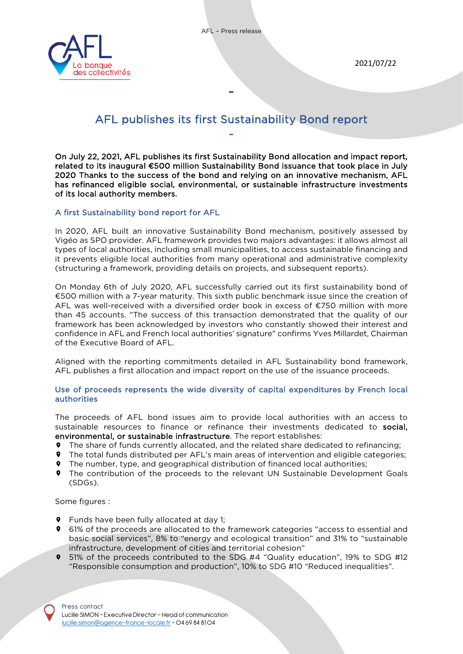



# AFL publishes its first Sustainability Bond report

-

On July 22, 2021, AFL publishes its first Sustainability Bond allocation and impact report, related to its inaugural €500 million Sustainability Bond issuance that took place in July 2020 Thanks to the success of the bond and relying on an innovative mechanism, AFL has refinanced eligible social, environmental, or sustainable infrastructure investments of its local authority members.

# A first Sustainability bond report for AFL

and the contract of the contract of the contract of

In 2020, AFL built an innovative Sustainability Bond mechanism, positively assessed by Vigéo as SPO provider. AFL framework provides two majors advantages: it allows almost all types of local authorities, including small municipalities, to access sustainable financing and it prevents eligible local authorities from many operational and administrative complexity (structuring a framework, providing details on projects, and subsequent reports).

On Monday 6th of July 2020, AFL successfully carried out its first sustainability bond of €500 million with a 7-year maturity. This sixth public benchmark issue since the creation of AFL was well-received with a diversified order book in excess of €750 million with more than 45 accounts. "The success of this transaction demonstrated that the quality of our framework has been acknowledged by investors who constantly showed their interest and confidence in AFL and French local authorities' signature" confirms Yves Millardet, Chairman of the Executive Board of AFL.

Aligned with the reporting commitments detailed in AFL Sustainability bond framework, AFL publishes a first allocation and impact report on the use of the issuance proceeds.

## Use of proceeds represents the wide diversity of capital expenditures by French local authorities

The proceeds of AFL bond issues aim to provide local authorities with an access to sustainable resources to finance or refinance their investments dedicated to social, environmental, or sustainable infrastructure. The report establishes:

- The share of funds currently allocated, and the related share dedicated to refinancing;
- The total funds distributed per AFL's main areas of intervention and eligible categories;
- The number, type, and geographical distribution of financed local authorities;
- **9** The contribution of the proceeds to the relevant UN Sustainable Development Goals (SDGs).

Some figures :

- **9** Funds have been fully allocated at day 1;
- **9** 61% of the proceeds are allocated to the framework categories "access to essential and basic social services", 8% to "energy and ecological transition" and 31% to "sustainable infrastructure, development of cities and territorial cohesion"
- 51% of the proceeds contributed to the SDG #4 "Quality education", 19% to SDG #12 "Responsible consumption and production", 10% to SDG #10 "Reduced inequalities".